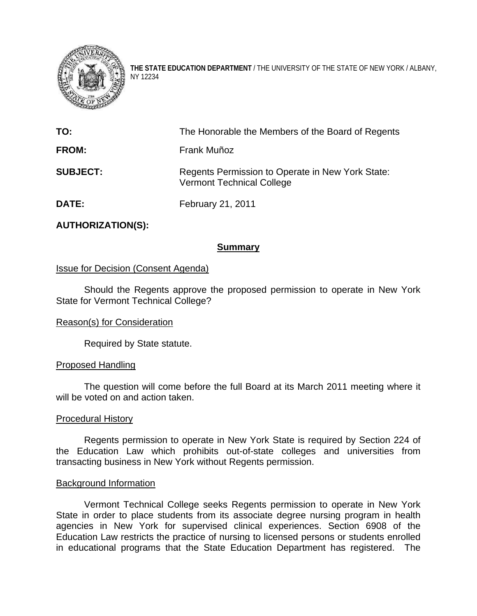

**THE STATE EDUCATION DEPARTMENT** / THE UNIVERSITY OF THE STATE OF NEW YORK / ALBANY, NY 12234

| TO:             | The Honorable the Members of the Board of Regents                                    |
|-----------------|--------------------------------------------------------------------------------------|
| <b>FROM:</b>    | Frank Muñoz                                                                          |
| <b>SUBJECT:</b> | Regents Permission to Operate in New York State:<br><b>Vermont Technical College</b> |
| <b>DATE:</b>    | February 21, 2011                                                                    |

# **AUTHORIZATION(S):**

# **Summary**

# Issue for Decision (Consent Agenda)

Should the Regents approve the proposed permission to operate in New York State for Vermont Technical College?

## Reason(s) for Consideration

Required by State statute.

## Proposed Handling

The question will come before the full Board at its March 2011 meeting where it will be voted on and action taken.

#### Procedural History

Regents permission to operate in New York State is required by Section 224 of the Education Law which prohibits out-of-state colleges and universities from transacting business in New York without Regents permission.

#### Background Information

Vermont Technical College seeks Regents permission to operate in New York State in order to place students from its associate degree nursing program in health agencies in New York for supervised clinical experiences. Section 6908 of the Education Law restricts the practice of nursing to licensed persons or students enrolled in educational programs that the State Education Department has registered. The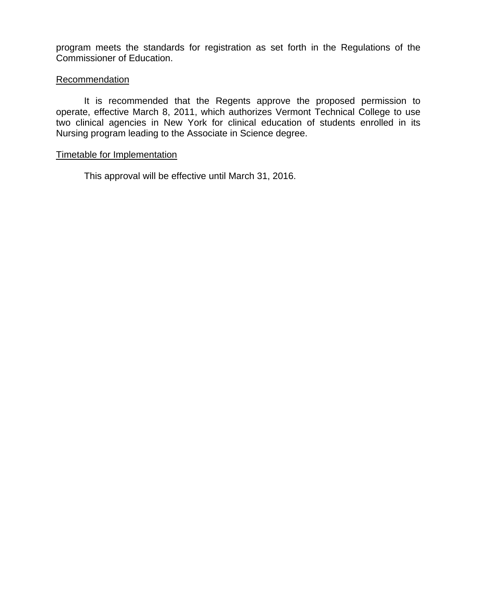program meets the standards for registration as set forth in the Regulations of the Commissioner of Education.

## **Recommendation**

It is recommended that the Regents approve the proposed permission to operate, effective March 8, 2011, which authorizes Vermont Technical College to use two clinical agencies in New York for clinical education of students enrolled in its Nursing program leading to the Associate in Science degree.

### Timetable for Implementation

This approval will be effective until March 31, 2016.